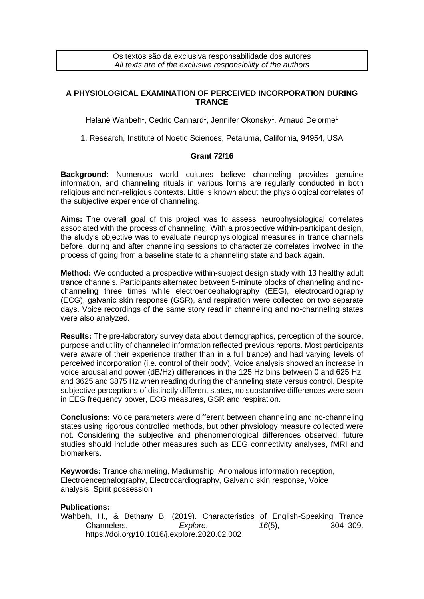Os textos são da exclusiva responsabilidade dos autores *All texts are of the exclusive responsibility of the authors*

## **A PHYSIOLOGICAL EXAMINATION OF PERCEIVED INCORPORATION DURING TRANCE**

Helané Wahbeh<sup>1</sup>, Cedric Cannard<sup>1</sup>, Jennifer Okonsky<sup>1</sup>, Arnaud Delorme<sup>1</sup>

1. Research, Institute of Noetic Sciences, Petaluma, California, 94954, USA

## **Grant 72/16**

**Background:** Numerous world cultures believe channeling provides genuine information, and channeling rituals in various forms are regularly conducted in both religious and non-religious contexts. Little is known about the physiological correlates of the subjective experience of channeling.

**Aims:** The overall goal of this project was to assess neurophysiological correlates associated with the process of channeling. With a prospective within-participant design, the study's objective was to evaluate neurophysiological measures in trance channels before, during and after channeling sessions to characterize correlates involved in the process of going from a baseline state to a channeling state and back again.

**Method:** We conducted a prospective within-subject design study with 13 healthy adult trance channels. Participants alternated between 5-minute blocks of channeling and nochanneling three times while electroencephalography (EEG), electrocardiography (ECG), galvanic skin response (GSR), and respiration were collected on two separate days. Voice recordings of the same story read in channeling and no-channeling states were also analyzed.

**Results:** The pre-laboratory survey data about demographics, perception of the source, purpose and utility of channeled information reflected previous reports. Most participants were aware of their experience (rather than in a full trance) and had varying levels of perceived incorporation (i.e. control of their body). Voice analysis showed an increase in voice arousal and power (dB/Hz) differences in the 125 Hz bins between 0 and 625 Hz, and 3625 and 3875 Hz when reading during the channeling state versus control. Despite subjective perceptions of distinctly different states, no substantive differences were seen in EEG frequency power, ECG measures, GSR and respiration.

**Conclusions:** Voice parameters were different between channeling and no-channeling states using rigorous controlled methods, but other physiology measure collected were not. Considering the subjective and phenomenological differences observed, future studies should include other measures such as EEG connectivity analyses, fMRI and biomarkers.

**Keywords:** Trance channeling, Mediumship, Anomalous information reception, Electroencephalography, Electrocardiography, Galvanic skin response, Voice analysis, Spirit possession

## **Publications:**

Wahbeh, H., & Bethany B. (2019). Characteristics of English-Speaking Trance Channelers. *Explore*, *16*(5), 304–309. https://doi.org/10.1016/j.explore.2020.02.002